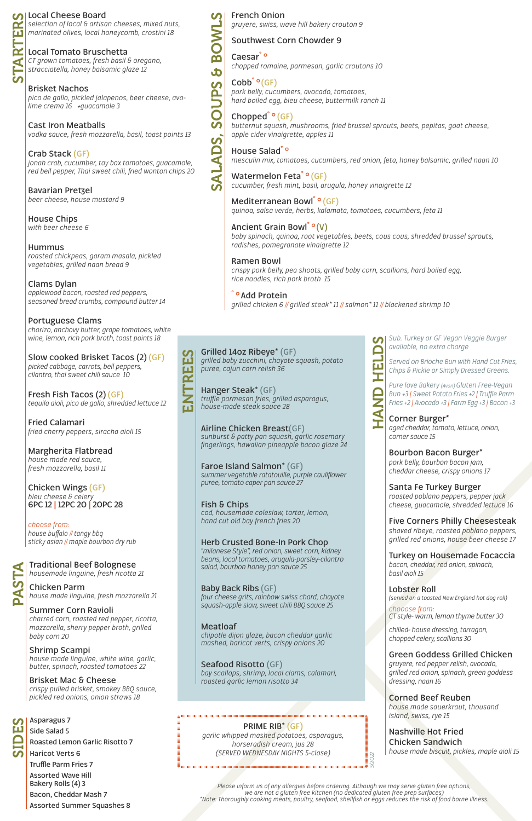## **Local Cheese Board**

*selection of local & artisan cheeses, mixed nuts, marinated olives, local honeycomb, crostini 18*

## **Local Tomato Bruschetta**

*CT grown tomatoes, fresh basil & oregano, stracciatella, honey balsamic glaze 12*

**Brisket Nachos** *pico de gallo, pickled jalapenos, beer cheese, avolime crema 16 +guacamole 3*

**Cast Iron Meatballs** *vodka sauce, fresh mozzarella, basil, toast points 13*

**Crab Stack (GF)** *jonah crab, cucumber, toy box tomatoes, guacamole, red bell pepper, Thai sweet chili, fried wonton chips 20*

**Bavarian Pretzel** *beer cheese, house mustard 9*

**House Chips** *with beer cheese 6*

**Hummus** *roasted chickpeas, garam masala, pickled vegetables, grilled naan bread 9*

**Clams Dylan** *applewood bacon, roasted red peppers, seasoned bread crumbs, compound butter 14*

**Portuguese Clams** *chorizo, anchovy butter, grape tomatoes, white wine, lemon, rich pork broth, toast points 18*

**Slow cooked Brisket Tacos (2) (GF)** *picked cabbage, carrots, bell peppers, cilantro, thai sweet chili sauce 10*

**Fresh Fish Tacos (2) (GF)** *tequila aioli, pico de gallo, shredded lettuce 12*

**Fried Calamari** *fried cherry peppers, siracha aioli 15*

**Margherita Flatbread** *house made red sauce, fresh mozzarella, basil 11*

**Chicken Wings (GF)** *bleu cheese & celery* **6PC 12 | 12PC 20 | 20PC 28**

*choose from: house buffalo // tangy bbq sticky asian // maple bourbon dry rub*

**Roasted Lemon Garlic Risotto 7 Haricot Verts 6 Truffle Parm Fries 7 Assorted Wave Hill Bakery Rolls (4) 3**

# **Asparagus 7 Side Salad 5** SIDES

**Bacon, Cheddar Mash 7**

**Assorted Summer Squashes 8**

STARTERS

RT.

 $\blacktriangleleft$ 

்ப

*gruyere, swiss, wave hill bakery crouton 9*

# **Southwest Corn Chowder 9**

**Caesar˚°** *chopped romaine, parmesan, garlic croutons 10*

**Cobb˚° (GF)** *pork belly, cucumbers, avocado, tomatoes, hard boiled egg, bleu cheese, buttermilk ranch 11*

**Chopped˚° (GF)** *butternut squash, mushrooms, fried brussel sprouts, beets, pepitas, goat cheese, apple cider vinaigrette, apples 11*

**House Salad˚°** *mesculin mix, tomatoes, cucumbers, red onion, feta, honey balsamic, grilled naan 10*

**Watermelon Feta˚° (GF)** *cucumber, fresh mint, basil, arugula, honey vinaigrette 12*

# **French Onion** SALADS, SOUPS & BOWLS

J

 $\boldsymbol{\mathcal{C}}$ 

**Allu** 

 $\overline{\textbf{C}}$ 

**ALADS** 

**Mediterranean Bowl˚° (GF)** *quinoa, salsa verde, herbs, kalamata, tomatoes, cucumbers, feta 11*

**Grilled 14oz Ribeye\* (GF) S** ENTREES *grilled baby zucchini, chayote squash, potato*  ய *puree, cajun corn relish 36* ENTRE

#### **Ancient Grain Bowl˚° (V)** *baby spinach, quinoa, root vegetables, beets, cous cous, shredded brussel sprouts, radishes, pomegranate vinaigrette 12*

**Ramen Bowl** *crispy pork belly, pea shoots, grilled baby corn, scallions, hard boiled egg, rice noodles, rich pork broth 15*

**˚° Add Protein** *grilled chicken 6 // grilled steak\* 11 // salmon\* 11 // blackened shrimp 10*

PASTA





AND

*Chips & Pickle or Simply Dressed Greens. Pure love Bakery (Avon) Gluten Free-Vegan Bun +3 | Sweet Potato Fries +2 | Truffle Parm* 

*Fries +2 | Avocado +3 | Farm Egg +3 | Bacon +3*

# **Corner Burger\***

*aged cheddar, tomato, lettuce, onion, corner sauce 15*

**Bourbon Bacon Burger\*** *pork belly, bourbon bacon jam, cheddar cheese, crispy onions 17*

**Santa Fe Turkey Burger** *roasted poblano peppers, pepper jack cheese, guacamole, shredded lettuce 16*

**Five Corners Philly Cheesesteak** *shaved ribeye, roasted poblano peppers, grilled red onions, house beer cheese 17*

**Turkey on Housemade Focaccia** *bacon, cheddar, red onion, spinach, basil aioli 15*

**Lobster Roll** *(served on a toasted New England hot dog roll)*

#### *chooose from:*

*CT style- warm, lemon thyme butter 30*

*chilled- house dressing, tarragon, chopped celery, scallions 30*

#### **Green Goddess Grilled Chicken**

*gruyere, red pepper relish, avocado, grilled red onion, spinach, green goddess dressing, naan 16*

## **Corned Beef Reuben**

*house made sauerkraut, thousand island, swiss, rye 15*

#### **Nashville Hot Fried Chicken Sandwich** *house made biscuit, pickles, maple aioli 15*

**Traditional Beef Bolognese** *housemade linguine, fresh ricotta 21*

**Chicken Parm** *house made linguine, fresh mozzarella 21*

## **Summer Corn Ravioli**

*charred corn, roasted red pepper, ricotta, mozzarella, sherry pepper broth, grilled baby corn 20*

## **Shrimp Scampi**

*house made linguine, white wine, garlic, butter, spinach, roasted tomatoes 22*

## **Brisket Mac & Cheese**

*crispy pulled brisket, smokey BBQ sauce, pickled red onions, onion straws 18*

> *Please inform us of any allergies before ordering. Although we may serve gluten free options, we are not a gluten free kitchen (no dedicated gluten free prep surfaces) \*Note: Thoroughly cooking meats, poultry, seafood, shellfish or eggs reduces the risk of food borne illness.*

**Hanger Steak\* (GF)** *truffle parmesan fries, grilled asparagus, house-made steak sauce 28*

**Airline Chicken Breast(GF)** *sunburst & patty pan squash, garlic rosemary fingerlings, hawaiian pineapple bacon glaze 24*

**Faroe Island Salmon\* (GF)** *summer vegetable ratatouille, purple cauliflower puree, tomato caper pan sauce 27*

**Fish & Chips** *cod, housemade coleslaw, tartar, lemon, hand cut old bay french fries 20*

**Herb Crusted Bone-In Pork Chop** *"milanese Style", red onion, sweet corn, kidney beans, local tomatoes, arugula-parsley-cilantro salad, bourbon honey pan sauce 25*

**Baby Back Ribs (GF)** *four cheese grits, rainbow swiss chard, chayote squash-apple slaw, sweet chili BBQ sauce 25*

## **Meatloaf**

*chipotle dijon glaze, bacon cheddar garlic mashed, haricot verts, crispy onions 20*

#### **Seafood Risotto (GF)**

*bay scallops, shrimp, local clams, calamari, roasted garlic lemon risotto 34*

*5/2022*

## **PRIME RIB\* (GF)**

*garlic whipped mashed potatoes, asparagus, horseradish cream, jus 28 (SERVED WEDNESDAY NIGHTS 5-close)*